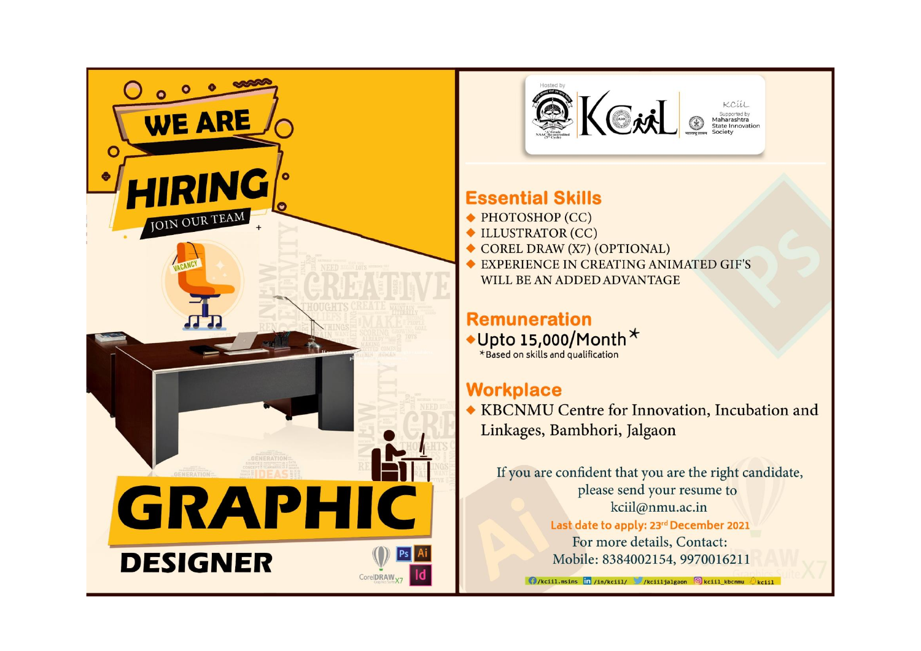



## **Essential Skills**

- $\blacktriangleright$  PHOTOSHOP (CC)
- ULLUSTRATOR (CC)
- COREL DRAW (X7) (OPTIONAL)
- EXPERIENCE IN CREATING ANIMATED GIF'S WILL BE AN ADDED ADVANTAGE

# **Remuneration**

 $\text{Upto 15,000/Month} \star$ <br>\*Based on skills and qualification

## **Workplace**

◆ KBCNMU Centre for Innovation, Incubation and Linkages, Bambhori, Jalgaon

If you are confident that you are the right candidate, please send your resume to kciil@nmu.ac.in Last date to apply: 23rd December 2021 For more details, Contact: Mobile: 8384002154, 9970016211

**O**/kciil.msins in /in/kciil/ /kciiljalgaon **O**kciil kbcnmu  $\Diamond$ kciil